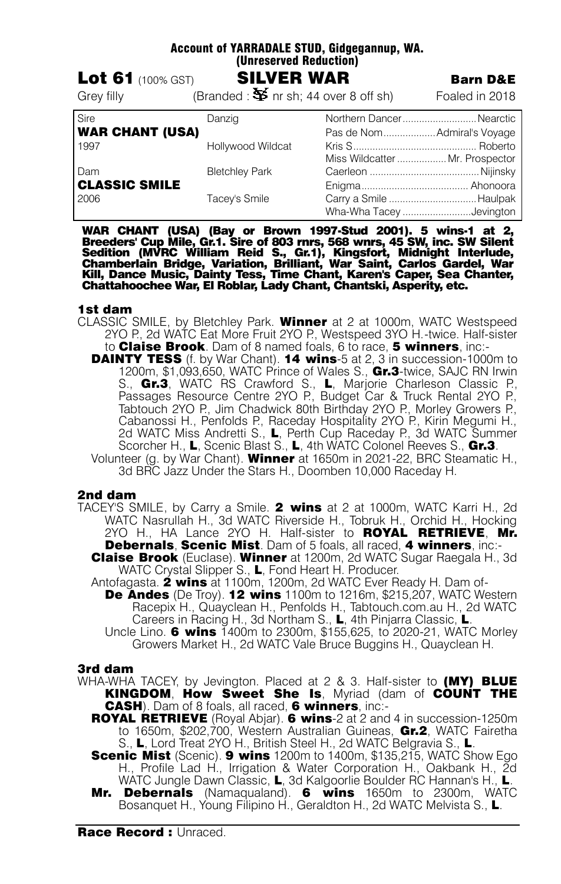| ACCOUNT OF TAKKADALE STOD, GIOGEGANNUP, WA.<br>(Unreserved Reduction)<br><b>SILVER WAR</b><br><b>Lot 61</b> $(100\% GST)$<br><b>Barn D&amp;E</b> |                                                      |                                                                                           |                |
|--------------------------------------------------------------------------------------------------------------------------------------------------|------------------------------------------------------|-------------------------------------------------------------------------------------------|----------------|
| Grey filly                                                                                                                                       | (Branded: $\mathbf{\Sigma}$ nr sh; 44 over 8 off sh) |                                                                                           | Foaled in 2018 |
| <b>Sire</b><br><b>WAR CHANT (USA)</b><br>1997                                                                                                    | Danzig<br>Hollywood Wildcat                          | Northern DancerNearctic<br>Pas de Nom Admiral's Voyage<br>Miss Wildcatter  Mr. Prospector |                |
| Dam<br><b>CLASSIC SMILE</b><br>2006                                                                                                              | <b>Bletchley Park</b><br>Tacey's Smile               |                                                                                           |                |
|                                                                                                                                                  |                                                      | Wha-Wha Tacey Jevington                                                                   |                |

Account of YARRADALE STUD, Gidgegannup, WA.

WAR CHANT (USA) (Bay or Brown 1997-Stud 2001). 5 wins-1 at 2,<br>Breeders' Cup Mile, Gr.1. Sire of 803 rnrs, 568 wnrs, 45 SW, inc. SW Silent<br>Sedition (MVRC William Reid S., Gr.1), Kingsfort, Midnight Interlude,<br>Chamberlain Br Chattahoochee War, El Roblar, Lady Chant, Chantski, Asperity, etc.

#### 1st dam

- CLASSIC SMILE, by Bletchley Park. Winner at 2 at 1000m, WATC Westspeed 2YO P., 2d WATC Eat More Fruit 2YO P., Westspeed 3YO H.-twice. Half-sister to **Claise Brook**. Dam of 8 named foals, 6 to race, 5 winners, inc:-
	- **DAINTY TESS** (f. by War Chant). **14 wins**-5 at 2, 3 in succession-1000m to 1200m, \$1,093,650, WATC Prince of Wales S., Gr.3-twice, SAJC RN Irwin S., Gr.3, WATC RS Crawford S., L, Marjorie Charleson Classic P., Passages Resource Centre 2YO P., Budget Car & Truck Rental 2YO P., Tabtouch 2YO P., Jim Chadwick 80th Birthday 2YO P., Morley Growers P., Cabanossi H., Penfolds P., Raceday Hospitality 2YO P., Kirin Megumi H., 2d WATC Miss Andretti S., L, Perth Cup Raceday P., 3d WATC Summer Scorcher H., L, Scenic Blast S., L, 4th WATC Colonel Reeves S., Gr.3. Volunteer (g. by War Chant). Winner at 1650m in 2021-22, BRC Steamatic H., 3d BRC Jazz Under the Stars H., Doomben 10,000 Raceday H.

## 2nd dam

- TACEY'S SMILE, by Carry a Smile. 2 wins at 2 at 1000m, WATC Karri H., 2d WATC Nasrullah H., 3d WATC Riverside H., Tobruk H., Orchid H., Hocking 2YO H., HA Lance 2YO H. Half-sister to **ROYAL RETRIEVE. Mr.** Debernals, Scenic Mist. Dam of 5 foals, all raced, 4 winners, inc:-
	- Claise Brook (Euclase). Winner at 1200m, 2d WATC Sugar Raegala H., 3d WATC Crystal Slipper S., L, Fond Heart H. Producer.
	- Antofagasta. **2 wins** at 1100m, 1200m, 2d WATC Ever Ready H. Dam of-**De Andes** (De Troy). 12 wins 1100m to 1216m, \$215,207, WATC Western Racepix H., Quayclean H., Penfolds H., Tabtouch.com.au H., 2d WATC Careers in Racing H., 3d Northam S., L, 4th Pinjarra Classic, L.
		- Uncle Lino. **6 wins** 1400m to 2300m, \$155,625, to 2020-21, WATC Morley Growers Market H., 2d WATC Vale Bruce Buggins H., Quayclean H.

#### 3rd dam

- WHA-WHA TACEY, by Jevington. Placed at  $2 \& 3$ . Half-sister to  $(MY)$  BLUE KINGDOM, How Sweet She Is, Myriad (dam of COUNT THE CASH). Dam of 8 foals, all raced. 6 winners, inc:-
	- **ROYAL RETRIEVE** (Royal Abjar). 6 wins-2 at 2 and 4 in succession-1250m to 1650m, \$202,700, Western Australian Guineas, Gr.2, WATC Fairetha S., L, Lord Treat 2YO H., British Steel H., 2d WATC Belgravia S., L.
	- **Scenic Mist** (Scenic). 9 wins 1200m to 1400m, \$135,215, WATC Show Ego H., Profile Lad H., Irrigation & Water Corporation H., Oakbank H., 2d WATC Jungle Dawn Classic, L, 3d Kalgoorlie Boulder RC Hannan's H., L.
	- Mr. Debernals (Namaqualand). 6 wins 1650m to 2300m. WATC Bosanquet H., Young Filipino H., Geraldton H., 2d WATC Melvista S., L.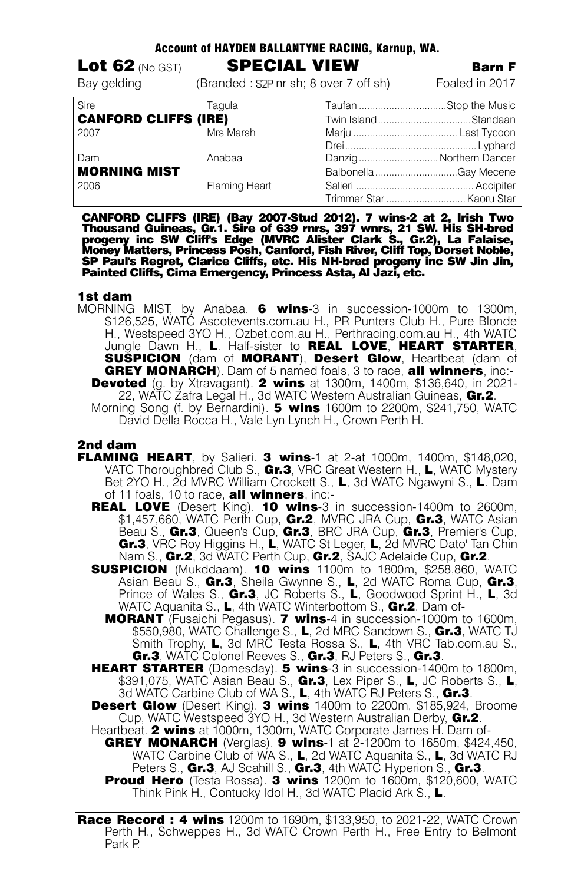| AGGUUN VI NATDEN DALLANTINE NAGINU, KAHIUP, WA. |                                       |  |                          |
|-------------------------------------------------|---------------------------------------|--|--------------------------|
| Lot 62 (No GST)                                 | <b>SPECIAL VIEW</b>                   |  | <b>Barn F</b>            |
| Bay gelding                                     | (Branded: S2P nr sh; 8 over 7 off sh) |  | Foaled in 2017           |
| Sire                                            | Tagula                                |  | Taufan Stop the Music    |
| <b>CANFORD CLIFFS (IRE)</b>                     |                                       |  | Twin IslandStandaan      |
| 2007                                            | Mrs Marsh                             |  |                          |
|                                                 |                                       |  |                          |
| Dam                                             | Anabaa                                |  | Danzig Northern Dancer   |
| MORNING MIST                                    |                                       |  | Balbonella Gay Mecene    |
| 2006                                            | Flaming Heart                         |  |                          |
|                                                 |                                       |  | Trimmer Star  Kaoru Star |

Account of HAYDEN BALLANTYNE RACING, Karnup, WA.

CANFORD CLIFFS (IRE) (Bay 2007-Stud 2012). 7 wins-2 at 2, Irish Two<br>Thousand Guineas, Gr.1. Sire of 639 rnrs, 397 wnrs, 21 SW. His SH-bred<br>progeny inc SW Cliffs Edge (MVRC Alister Clark S., Gr.2), La Falaise,<br>Money Matters SP Paul's Regret, Clarice Cliffs, etc. His NH-bred progeny inc SW Jin Jin, Painted Cliffs, Cima Emergency, Princess Asta, Al Jazi, etc.

## 1st dam

MORNING MIST, by Anabaa. **6 wins**-3 in succession-1000m to 1300m, \$126,525, WATC Ascotevents.com.au H., PR Punters Club H., Pure Blonde H., Westspeed 3YO H., Ozbet.com.au H., Perthracing.com.au H., 4th WATC Jungle Dawn H., L. Half-sister to REAL LOVE, HEART STARTER, SUSPICION (dam of MORANT), Desert Glow, Heartbeat (dam of GREY MONARCH). Dam of 5 named foals, 3 to race, all winners, inc:-**Devoted** (g. by Xtravagant). 2 wins at 1300m, 1400m, \$136,640, in 2021-22, WATC Zafra Legal H., 3d WATC Western Australian Guineas. Gr.2. Morning Song (f. by Bernardini). **5 wins** 1600m to 2200m, \$241,750, WATC David Della Rocca H., Vale Lyn Lynch H., Crown Perth H.

## 2nd dam

- FLAMING HEART, by Salieri. 3 wins-1 at 2-at 1000m, 1400m, \$148,020, VATC Thoroughbred Club S., Gr.3, VRC Great Western H., L, WATC Mystery Bet 2YO H., 2d MVRC William Crockett S., L, 3d WATC Ngawyni S., L. Dam of 11 foals, 10 to race, **all winners**, inc:-
	- REAL LOVE (Desert King). 10 wins-3 in succession-1400m to 2600m, \$1,457,660, WATC Perth Cup, Gr.2, MVRC JRA Cup, Gr.3, WATC Asian Beau S., Gr.3, Queen's Cup, Gr.3, BRC JRA Cup, Gr.3, Premier's Cup, Gr.3, VRC Roy Higgins H., L, WATC St Leger, L, 2d MVRC Dato' Tan Chin Nam S., Gr.2, 3d WATC Perth Cup, Gr.2, SAJC Adelaide Cup, Gr.2.
	- **SUSPICION** (Mukddaam). 10 wins 1100m to 1800m, \$258,860, WATC Asian Beau S., Gr.3, Sheila Gwynne S., L, 2d WATC Roma Cup, Gr.3, Prince of Wales S., Gr.3, JC Roberts S., L, Goodwood Sprint H., L, 3d WATC Aquanita S., L, 4th WATC Winterbottom S., Gr.2. Dam of-
		- **MORANT** (Fusaichi Pegasus). **7 wins**-4 in succession-1000m to 1600m, \$550,980, WATC Challenge S., L, 2d MRC Sandown S., Gr.3, WATC TJ Smith Trophy, L, 3d MRC Testa Rossa S., L, 4th VRC Tab.com.au S., Gr.3, WATC Colonel Reeves S., Gr.3, RJ Peters S., Gr.3.
	- **HEART STARTER** (Domesday). **5 wins**-3 in succession-1400m to 1800m, \$391,075, WATC Asian Beau S., Gr.3, Lex Piper S., L, JC Roberts S., L, 3d WATC Carbine Club of WA S., L, 4th WATC RJ Peters S., Gr.3.
	- **Desert Glow** (Desert King). 3 wins 1400m to 2200m, \$185,924, Broome Cup, WATC Westspeed 3YO H., 3d Western Australian Derby, Gr.2.
	- Heartbeat. **2 wins** at 1000m, 1300m, WATC Corporate James H. Dam of-**GREY MONARCH** (Verglas). 9 wins-1 at 2-1200m to 1650m, \$424,450, WATC Carbine Club of WA S., **L**, 2d WATC Aquanita S., **L**, 3d WATC RJ Peters S., Gr.3, AJ Scahill S., Gr.3, 4th WATC Hyperion S., Gr.3. **Proud Hero** (Testa Rossa). 3 wins 1200m to 1600m, \$120,600, WATC
		- Think Pink H., Contucky Idol H., 3d WATC Placid Ark S., L.

**Race Record : 4 wins** 1200m to 1690m, \$133,950, to 2021-22, WATC Crown Perth H., Schweppes H., 3d WATC Crown Perth H., Free Entry to Belmont Park P.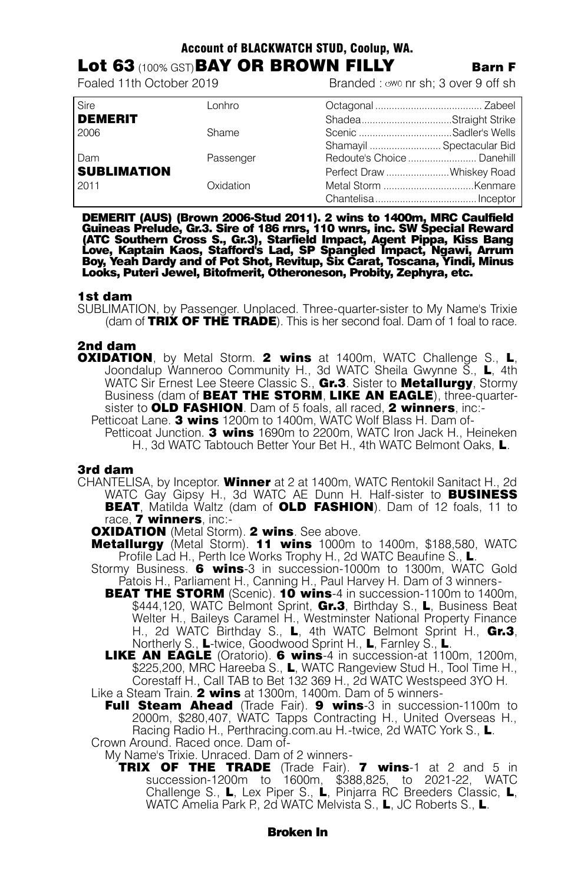## Account of BLACKWATCH STUD, Coolup, WA.

# **Lot 63** (100% GST) **BAY OR BROWN FILLY** Barn F<br>Foaled 11th October 2019

Branded : wwo nr sh; 3 over 9 off sh

| Sire               | Lonhro    |                           |  |
|--------------------|-----------|---------------------------|--|
| <b>DEMERIT</b>     |           | ShadeaStraight Strike     |  |
| 2006               | Shame     | Scenic Sadler's Wells     |  |
|                    |           | Shamayil  Spectacular Bid |  |
| Dam                | Passenger |                           |  |
| <b>SUBLIMATION</b> |           | Perfect Draw Whiskey Road |  |
| 2011               | Oxidation |                           |  |
|                    |           |                           |  |

DEMERIT (AUS) (Brown 2006-Stud 2011). 2 wins to 1400m, MRC Caulfield<br>Guineas Prelude, Gr.3. Sire of 186 rnrs, 110 wnrs, inc. SW Special Reward<br>(ATC Southern Cross S., Gr.3), Starfield Impact, Agent Pippa, Kiss Bang<br>Love, K Boy, Yeah Dardy and of Pot Shot, Revitup, Six Carat, Toscana, Yindi, Minus Looks, Puteri Jewel, Bitofmerit, Otheroneson, Probity, Zephyra, etc.

## 1st dam

SUBLIMATION, by Passenger. Unplaced. Three-quarter-sister to My Name's Trixie (dam of TRIX OF THE TRADE). This is her second foal. Dam of 1 foal to race.

## 2nd dam

**OXIDATION**, by Metal Storm. 2 wins at 1400m, WATC Challenge S., L, Joondalup Wanneroo Community H., 3d WATC Sheila Gwynne S., L, 4th WATC Sir Ernest Lee Steere Classic S., Gr.3. Sister to Metallurgy, Stormy Business (dam of **BEAT THE STORM, LIKE AN EAGLE**), three-quartersister to OLD FASHION. Dam of 5 foals, all raced, 2 winners, inc:-Petticoat Lane. 3 wins 1200m to 1400m, WATC Wolf Blass H. Dam of-

Petticoat Junction. 3 wins 1690m to 2200m, WATC Iron Jack H., Heineken H., 3d WATC Tabtouch Better Your Bet H., 4th WATC Belmont Oaks, L.

#### 3rd dam

CHANTELISA, by Inceptor. Winner at 2 at 1400m, WATC Rentokil Sanitact H., 2d WATC Gay Gipsy H., 3d WATC AE Dunn H. Half-sister to **BUSINESS** BEAT, Matilda Waltz (dam of OLD FASHION). Dam of 12 foals, 11 to race, **7 winners**, inc.-

**OXIDATION** (Metal Storm). 2 wins. See above.

- Metallurgy (Metal Storm). 11 wins 1000m to 1400m, \$188,580, WATC Profile Lad H., Perth Ice Works Trophy H., 2d WATC Beaufine S., L.
- Stormy Business. 6 wins-3 in succession-1000m to 1300m, WATC Gold Patois H., Parliament H., Canning H., Paul Harvey H. Dam of 3 winners-
	- **BEAT THE STORM** (Scenic). 10 wins-4 in succession-1100m to 1400m, \$444,120, WATC Belmont Sprint, Gr.3, Birthday S., L, Business Beat Welter H., Baileys Caramel H., Westminster National Property Finance H., 2d WATC Birthday S., L, 4th WATC Belmont Sprint H., Gr.3, Northerly S., L-twice, Goodwood Sprint H., L, Farnley S., L.

LIKE AN EAGLE (Oratorio). 6 wins-4 in succession-at 1100m, 1200m, \$225,200, MRC Hareeba S., L, WATC Rangeview Stud H., Tool Time H., Corestaff H., Call TAB to Bet 132 369 H., 2d WATC Westspeed 3YO H.

Like a Steam Train. 2 wins at 1300m, 1400m. Dam of 5 winners-

Full Steam Ahead (Trade Fair). 9 wins-3 in succession-1100m to 2000m, \$280,407, WATC Tapps Contracting H., United Overseas H., Racing Radio H., Perthracing.com.au H.-twice, 2d WATC York S., L. Crown Around. Raced once. Dam of-

My Name's Trixie. Unraced. Dam of 2 winners-

TRIX OF THE TRADE (Trade Fair). 7 wins-1 at 2 and 5 in succession-1200m to 1600m, \$388,825, to 2021-22, WATC Challenge S., L, Lex Piper S., L, Pinjarra RC Breeders Classic. L. WATC Amelia Park P., 2d WATC Melvista S., L. JC Roberts S., L.

## Broken In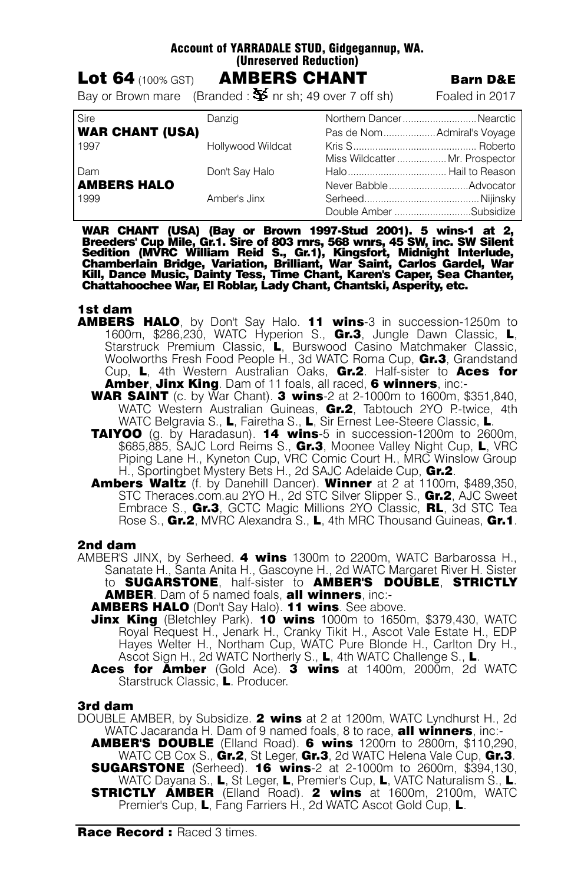## Account of YARRADALE STUD, Gidgegannup, WA. (Unreserved Reduction)

| Lot 64 $(100\%~\text{GST})$ | <b>AMBERS CHANT</b>                                                           | <b>Barn D&amp;E</b> |
|-----------------------------|-------------------------------------------------------------------------------|---------------------|
|                             | Bay or Brown mare (Branded : $\mathbf{\mathring{S}}$ nr sh; 49 over 7 off sh) | Foaled in 2017      |

| Sire                   | Danzig            | Northern DancerNearctic         |  |
|------------------------|-------------------|---------------------------------|--|
| <b>WAR CHANT (USA)</b> |                   | Pas de NomAdmiral's Voyage      |  |
| 1997                   | Hollywood Wildcat |                                 |  |
|                        |                   | Miss Wildcatter  Mr. Prospector |  |
| Dam                    | Don't Say Halo    |                                 |  |
| <b>AMBERS HALO</b>     |                   |                                 |  |
| 1999                   | Amber's Jinx      |                                 |  |
|                        |                   | Double Amber Subsidize          |  |

WAR CHANT (USA) (Bay or Brown 1997-Stud 2001). 5 wins-1 at 2,<br>Breeders' Cup Mile, Gr.1. Sire of 803 rnrs, 568 wnrs, 45 SW, inc. SW Silent<br>Sedition (MVRC William Reid S., Gr.1), Kingsfort, Midnight Interlude,<br>Chamberlain Br Chattahoochee War, El Roblar, Lady Chant, Chantski, Asperity, etc.

## 1st dam

- **AMBERS HALO**, by Don't Say Halo. 11 wins-3 in succession-1250m to 1600m, \$286,230, WATC Hyperion S., Gr.3, Jungle Dawn Classic, L, Starstruck Premium Classic, L, Burswood Casino Matchmaker Classic, Woolworths Fresh Food People H., 3d WATC Roma Cup, Gr.3, Grandstand Cup, L, 4th Western Australian Oaks, Gr.2. Half-sister to Aces for Amber, Jinx King. Dam of 11 foals, all raced, 6 winners, inc:-
	- **WAR SAINT** (c. by War Chant). **3 wins**-2 at 2-1000m to 1600m, \$351,840, WATC Western Australian Guineas, Gr.2, Tabtouch 2YO P-twice, 4th WATC Belgravia S., L. Fairetha S., L. Sir Ernest Lee-Steere Classic, L.
	- **TAIYOO** (g. by Haradasun). **14 wins**-5 in succession-1200m to 2600m, \$685,885, SAJC Lord Reims S., Gr.3, Moonee Valley Night Cup, L, VRC Piping Lane H., Kyneton Cup, VRC Comic Court H., MRC Winslow Group H., Sportingbet Mystery Bets H., 2d SAJC Adelaide Cup, Gr.2.
	- Ambers Waltz (f. by Danehill Dancer). Winner at 2 at 1100m, \$489,350, STC Theraces.com.au 2YO H., 2d STC Silver Slipper S., Gr.2, AJC Sweet Embrace S., Gr.3, GCTC Magic Millions 2YO Classic, RL, 3d STC Tea Rose S., Gr.2, MVRC Alexandra S., L, 4th MRC Thousand Guineas, Gr.1.

## 2nd dam

- AMBER'S JINX, by Serheed. 4 wins 1300m to 2200m, WATC Barbarossa H., Sanatate H., Santa Anita H., Gascoyne H., 2d WATC Margaret River H. Sister to SUGARSTONE, half-sister to **AMBER'S DOUBLE, STRICTLY AMBER**. Dam of 5 named foals. **all winners**, inc:-
	- **AMBERS HALO** (Don't Say Halo). 11 wins. See above.
	- **Jinx King** (Bletchley Park). 10 wins 1000m to 1650m, \$379,430, WATC Royal Request H., Jenark H., Cranky Tikit H., Ascot Vale Estate H., EDP Hayes Welter H., Northam Cup, WATC Pure Blonde H., Carlton Dry H., Ascot Sign H., 2d WATC Northerly S., L, 4th WATC Challenge S., L.
	- Aces for Amber (Gold Ace). 3 wins at 1400m, 2000m, 2d WATC Starstruck Classic, L. Producer.

## 3rd dam

- DOUBLE AMBER, by Subsidize. 2 wins at 2 at 1200m, WATC Lyndhurst H., 2d WATC Jacaranda H. Dam of 9 named foals, 8 to race, **all winners**, inc:-
	- AMBER'S DOUBLE (Elland Road). 6 wins 1200m to 2800m, \$110,290, WATC CB Cox S., Gr.2, St Leger, Gr.3, 2d WATC Helena Vale Cup, Gr.3. **SUGARSTONE** (Serheed). **16 wins-2** at 2-1000m to 2600m, \$394,130, WATC Dayana S., L, St Leger, L, Premier's Cup, L, VATC Naturalism S., L. **STRICTLY AMBER** (Elland Road). 2 wins at 1600m, 2100m, WATC Premier's Cup, L, Fang Farriers H., 2d WATC Ascot Gold Cup, L.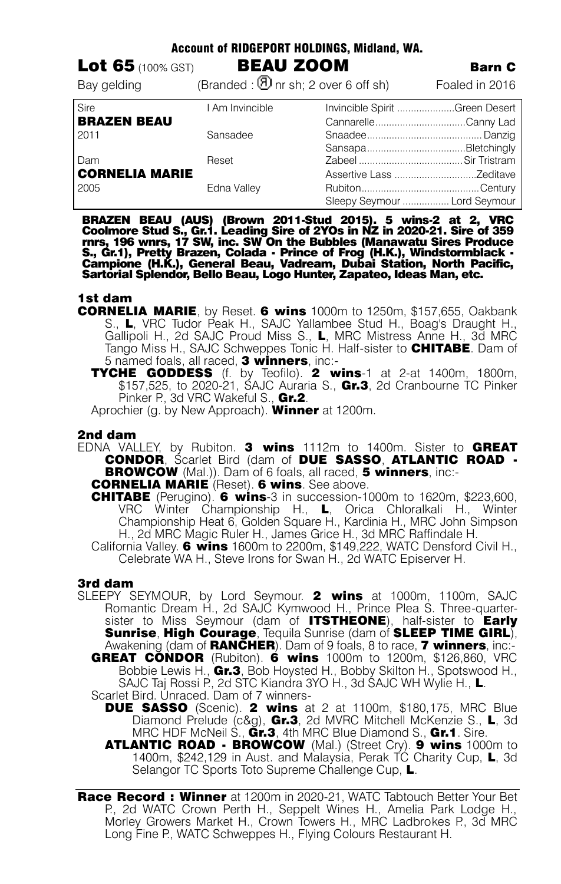| Account of RIDGEPORT HOLDINGS, Midland, WA. |                                                     |  |                                |
|---------------------------------------------|-----------------------------------------------------|--|--------------------------------|
| <b>Lot 65</b> $(100\% GST)$                 | <b>BEAU ZOOM</b>                                    |  | <b>Barn C</b>                  |
| Bay gelding                                 | (Branded: $\textcircled{1}$ nr sh; 2 over 6 off sh) |  | Foaled in 2016                 |
| Sire                                        | I Am Invincible                                     |  | Invincible Spirit Green Desert |
| <b>BRAZEN BEAU</b>                          |                                                     |  | CannarelleCanny Lad            |
| 2011                                        | Sansadee                                            |  |                                |
|                                             |                                                     |  |                                |
| Dam                                         | Reset                                               |  |                                |
| <b>CORNELIA MARIE</b>                       |                                                     |  |                                |
| 2005                                        | Edna Valley                                         |  |                                |
|                                             |                                                     |  | Sleepy Seymour  Lord Seymour   |

BRAZEN BEAU (AUS) (Brown 2011-Stud 2015). 5 wins-2 at 2, VRC<br>Coolmore Stud S., Gr.1. Leading Sire of 2YOs in NZ in 2020-21. Sire of 359<br>rnrs, 196 wnrs, 17 SW, inc. SW On the Bubbles (Manawatu Sires Produce<br>S., Gr.1), Prett

## 1st dam

- CORNELIA MARIE, by Reset. 6 wins 1000m to 1250m, \$157,655, Oakbank S., L, VRC Tudor Peak H., SAJC Yallambee Stud H., Boag's Draught H., Gallipoli H., 2d SAJC Proud Miss S., L, MRC Mistress Anne H., 3d MRC Tango Miss H., SAJC Schweppes Tonic H. Half-sister to **CHITABE**. Dam of 5 named foals, all raced, 3 winners, inc:-
	- TYCHE GODDESS (f. by Teofilo). 2 wins-1 at 2-at 1400m, 1800m, \$157,525, to 2020-21, SAJC Auraria S., Gr.3, 2d Cranbourne TC Pinker Pinker P., 3d VRC Wakeful S., Gr.2.

Aprochier (g. by New Approach). Winner at 1200m.

## 2nd dam

EDNA VALLEY, by Rubiton. 3 wins 1112m to 1400m. Sister to GREAT CONDOR, Scarlet Bird (dam of DUE SASSO, ATLANTIC ROAD - **BROWCOW** (Mal.)). Dam of 6 foals, all raced, 5 winners, inc:-

CORNELIA MARIE (Reset). 6 wins. See above.

**CHITABE** (Perugino). 6 wins-3 in succession-1000m to 1620m, \$223,600,<br>VRC Winter Championship H.. L. Orica Chloralkali H.. Winter VRC Winter Championship H., L. Orica Chloralkali H., Championship Heat 6, Golden Square H., Kardinia H., MRC John Simpson H., 2d MRC Magic Ruler H., James Grice H., 3d MRC Raffindale H.

California Valley. 6 wins 1600m to 2200m, \$149,222, WATC Densford Civil H., Celebrate WA H., Steve Irons for Swan H., 2d WATC Episerver H.

## 3rd dam

SLEEPY SEYMOUR, by Lord Seymour. 2 wins at 1000m, 1100m, SAJC Romantic Dream H., 2d SAJC Kymwood H., Prince Plea S. Three-quartersister to Miss Seymour (dam of **ITSTHEONE**), half-sister to **Early** Sunrise, High Courage, Tequila Sunrise (dam of SLEEP TIME GIRL), Awakening (dam of **RANCHER**). Dam of 9 foals, 8 to race, **7 winners**, inc.-GREAT CONDOR (Rubiton). 6 wins 1000m to 1200m, \$126,860, VRC Bobbie Lewis H., Gr.3, Bob Hoysted H., Bobby Skilton H., Spotswood H.,

SAJC Taj Rossi P., 2d STC Kiandra 3YO H., 3d SAJC WH Wylie H., L.

Scarlet Bird. Unraced. Dam of 7 winners-

- **DUE SASSO** (Scenic). 2 wins at 2 at 1100m, \$180,175, MRC Blue Diamond Prelude (c&g), Gr.3, 2d MVRC Mitchell McKenzie S., L, 3d MRC HDF McNeil S., Gr.3, 4th MRC Blue Diamond S., Gr.1. Sire.
- ATLANTIC ROAD BROWCOW (Mal.) (Street Cry). 9 wins 1000m to 1400m, \$242,129 in Aust. and Malaysia, Perak TC Charity Cup, L, 3d Selangor TC Sports Toto Supreme Challenge Cup, L.
- Race Record: Winner at 1200m in 2020-21, WATC Tabtouch Better Your Bet P., 2d WATC Crown Perth H., Seppelt Wines H., Amelia Park Lodge H., Morley Growers Market H., Crown Towers H., MRC Ladbrokes P., 3d MRC Long Fine P., WATC Schweppes H., Flying Colours Restaurant H.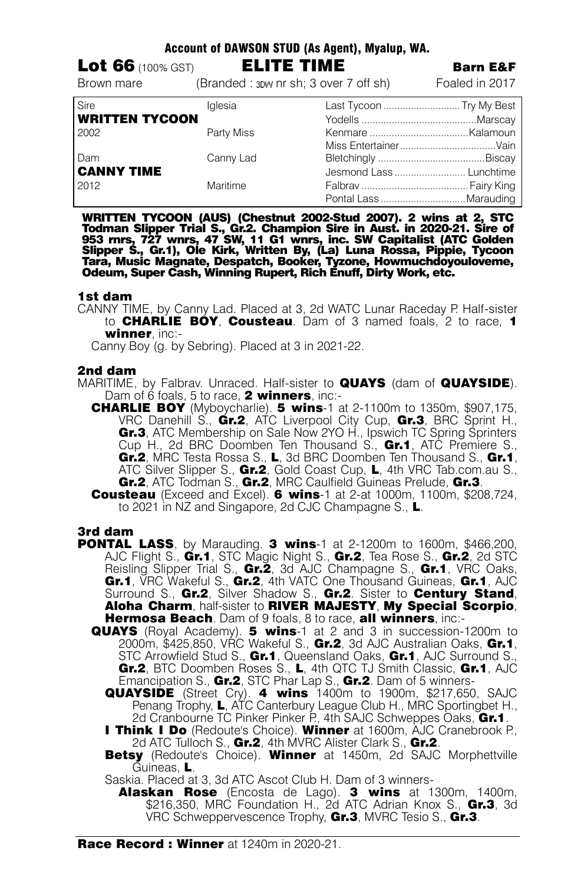| <b>Lot 66</b> $(100\% GST)$ | <b>ELITE TIME</b> |                                       | <b>Barn E&amp;F</b>      |
|-----------------------------|-------------------|---------------------------------------|--------------------------|
| Brown mare                  |                   | (Branded: 3DW nr sh; 3 over 7 off sh) | Foaled in 2017           |
| Sire                        | lalesia           |                                       | Last Tycoon  Try My Best |
| <b>WRITTEN TYCOON</b>       |                   |                                       |                          |
| 2002                        | Party Miss        |                                       |                          |
|                             |                   |                                       |                          |
| Dam                         | Canny Lad         |                                       |                          |
| <b>CANNY TIME</b>           |                   |                                       | Jesmond Lass  Lunchtime  |
| 2012                        | Maritime          |                                       |                          |
|                             |                   |                                       |                          |

Account of DAWSON STUD (As Agent), Myalup, WA.

WRITTEN TYCOON (AUS) (Chestnut 2002-Stud 2007). 2 wins at 2, STC<br>Todman Slipper Trial S., Gr.2. Champion Sire in Aust. in 2020-21. Sire of<br>953 mrs, 727 wnrs, 47 SW, 11 G1 wnrs, inc. SW Capitalist (ATC Golden<br>Slipper S., Gr Tara, Music Magnate, Despatch, Booker, Tyzone, Howmuchdoyouloveme, Odeum, Super Cash, Winning Rupert, Rich Enuff, Dirty Work, etc.

#### 1st dam

CANNY TIME, by Canny Lad. Placed at 3, 2d WATC Lunar Raceday P. Half-sister to **CHARLIE BOY, Cousteau.** Dam of 3 named foals, 2 to race, 1 winner inc:-

Canny Boy (g. by Sebring). Placed at 3 in 2021-22.

## 2nd dam

- MARITIME, by Falbrav. Unraced. Half-sister to QUAYS (dam of QUAYSIDE). Dam of 6 foals, 5 to race, 2 winners, inc:-
	- CHARLIE BOY (Myboycharlie). 5 wins-1 at 2-1100m to 1350m, \$907,175, VRC Danehill S., Gr.2, ATC Liverpool City Cup, Gr.3, BRC Sprint H., Gr.3, ATC Membership on Sale Now 2YO H., Ipswich TC Spring Sprinters Cup H., 2d BRC Doomben Ten Thousand S., Gr.1, ATC Premiere S., Gr.2, MRC Testa Rossa S., L, 3d BRC Doomben Ten Thousand S., Gr.1, ATC Silver Slipper S., Gr.2, Gold Coast Cup, L, 4th VRC Tab.com.au S., Gr.2, ATC Todman S., Gr.2, MRC Caulfield Guineas Prelude, Gr.3.
	- **Cousteau** (Exceed and Excel). 6 wins-1 at 2-at 1000m, 1100m, \$208,724, to 2021 in NZ and Singapore, 2d CJC Champagne S., L.

## 3rd dam

- **PONTAL LASS**, by Marauding. 3 wins-1 at 2-1200m to 1600m, \$466,200. AJC Flight S., Gr.1, STC Magic Night S., Gr.2, Tea Rose S., Gr.2, 2d STC Reisling Slipper Trial S., Gr.2, 3d AJC Champagne S., Gr.1, VRC Oaks, Gr.1, VRC Wakeful S., Gr.2, 4th VATC One Thousand Guineas, Gr.1, AJC Surround S., Gr.2, Silver Shadow S., Gr.2. Sister to Century Stand, Aloha Charm, half-sister to RIVER MAJESTY, My Special Scorpio, Hermosa Beach. Dam of 9 foals, 8 to race, all winners, inc:-
	- QUAYS (Royal Academy). 5 wins-1 at 2 and 3 in succession-1200m to 2000m, \$425,850, VRC Wakeful S.,  $Gr.2$ , 3d AJC Australian Oaks,  $Gr.1$ , STC Arrowfield Stud S., Gr.1, Queensland Oaks, Gr.1, AJC Surround S., Gr.2, BTC Doomben Roses S., L, 4th QTC TJ Smith Classic, Gr.1, AJC Emancipation S., Gr.2, STC Phar Lap S., Gr.2. Dam of 5 winners-
		- QUAYSIDE (Street Cry). 4 wins 1400m to 1900m, \$217,650, SAJC Penang Trophy, L, ATC Canterbury League Club H., MRC Sportingbet H., 2d Cranbourne TC Pinker Pinker P., 4th SAJC Schweppes Oaks, Gr.1.
		- **I Think I Do** (Redoute's Choice). Winner at 1600m, AJC Cranebrook P., 2d ATC Tulloch S., Gr.2, 4th MVRC Alister Clark S., Gr.2.
		- Betsy (Redoute's Choice). Winner at 1450m, 2d SAJC Morphettville Guineas, L.

Saskia. Placed at 3, 3d ATC Ascot Club H. Dam of 3 winners-

Alaskan Rose (Encosta de Lago). 3 wins at 1300m. 1400m. \$216,350, MRC Foundation H., 2d ATC Adrian Knox S.,  $Gr.3$ , 3d VRC Schweppervescence Trophy, Gr.3, MVRC Tesio S., Gr.3.